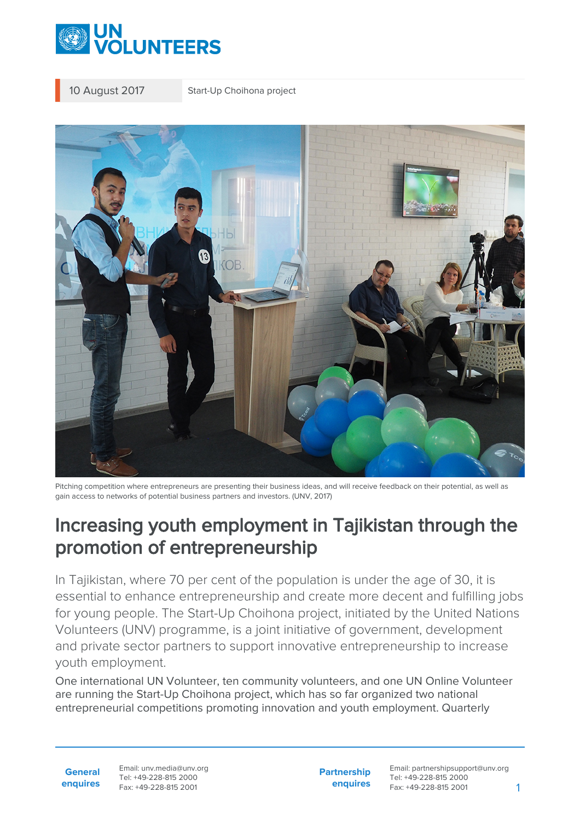

10 August 2017 Start-Up Choihona project



Pitching competition where entrepreneurs are presenting their business ideas, and will receive feedback on their potential, as well as gain access to networks of potential business partners and investors. (UNV, 2017)

# Increasing youth employment in Tajikistan through the promotion of entrepreneurship

In Tajikistan, where 70 per cent of the population is under the age of 30, it is essential to enhance entrepreneurship and create more decent and fulfilling jobs for young people. The Start-Up Choihona project, initiated by the United Nations Volunteers (UNV) programme, is a joint initiative of government, development and private sector partners to support innovative entrepreneurship to increase youth employment.

One international UN Volunteer, ten community volunteers, and one UN Online Volunteer are running the Start-Up Choihona project, which has so far organized two national entrepreneurial competitions promoting innovation and youth employment. Quarterly

**General enquires** Email: unv.media@unv.org Tel: +49-228-815 2000 Fax: +49-228-815 2001

**Partnership enquires** Email: partnershipsupport@unv.org Tel: +49-228-815 2000 Fax: +49-228-815 2001 1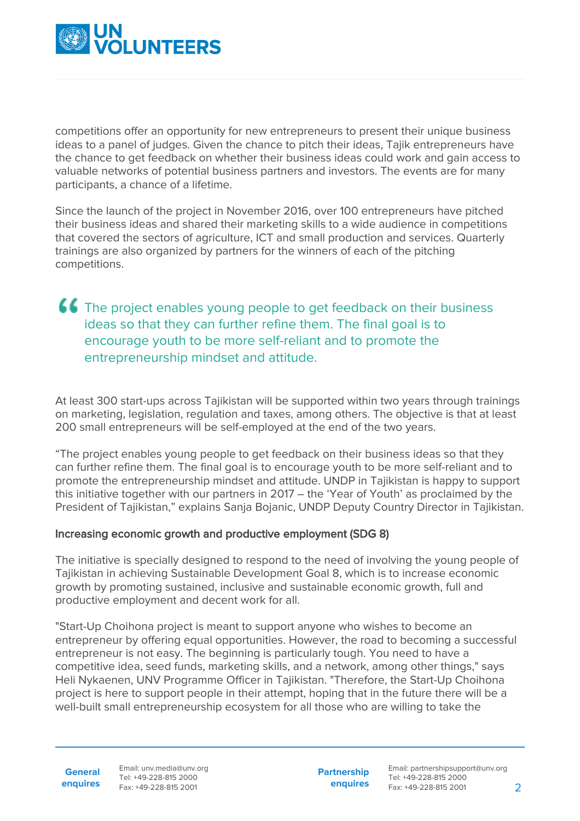

competitions offer an opportunity for new entrepreneurs to present their unique business ideas to a panel of judges. Given the chance to pitch their ideas, Tajik entrepreneurs have the chance to get feedback on whether their business ideas could work and gain access to valuable networks of potential business partners and investors. The events are for many participants, a chance of a lifetime.

Since the launch of the project in November 2016, over 100 entrepreneurs have pitched their business ideas and shared their marketing skills to a wide audience in competitions that covered the sectors of agriculture, ICT and small production and services. Quarterly trainings are also organized by partners for the winners of each of the pitching competitions.

### **66** The project enables young people to get feedback on their business ideas so that they can further refine them. The final goal is to encourage youth to be more self-reliant and to promote the entrepreneurship mindset and attitude.

At least 300 start-ups across Tajikistan will be supported within two years through trainings on marketing, legislation, regulation and taxes, among others. The objective is that at least 200 small entrepreneurs will be self-employed at the end of the two years.

"The project enables young people to get feedback on their business ideas so that they can further refine them. The final goal is to encourage youth to be more self-reliant and to promote the entrepreneurship mindset and attitude. UNDP in Tajikistan is happy to support this initiative together with our partners in 2017 – the 'Year of Youth' as proclaimed by the President of Tajikistan," explains Sanja Bojanic, UNDP Deputy Country Director in Tajikistan.

#### Increasing economic growth and productive employment (SDG 8)

The initiative is specially designed to respond to the need of involving the young people of Tajikistan in achieving Sustainable Development Goal 8, which is to increase economic growth by promoting sustained, inclusive and sustainable economic growth, full and productive employment and decent work for all.

"Start-Up Choihona project is meant to support anyone who wishes to become an entrepreneur by offering equal opportunities. However, the road to becoming a successful entrepreneur is not easy. The beginning is particularly tough. You need to have a competitive idea, seed funds, marketing skills, and a network, among other things," says Heli Nykaenen, UNV Programme Officer in Tajikistan. "Therefore, the Start-Up Choihona project is here to support people in their attempt, hoping that in the future there will be a well-built small entrepreneurship ecosystem for all those who are willing to take the

**General enquires** Email: unv.media@unv.org Tel: +49-228-815 2000 Fax: +49-228-815 2001

**Partnership enquires**

Email: partnershipsupport@unv.org Tel: +49-228-815 2000 Fax: +49-228-815 2001 2